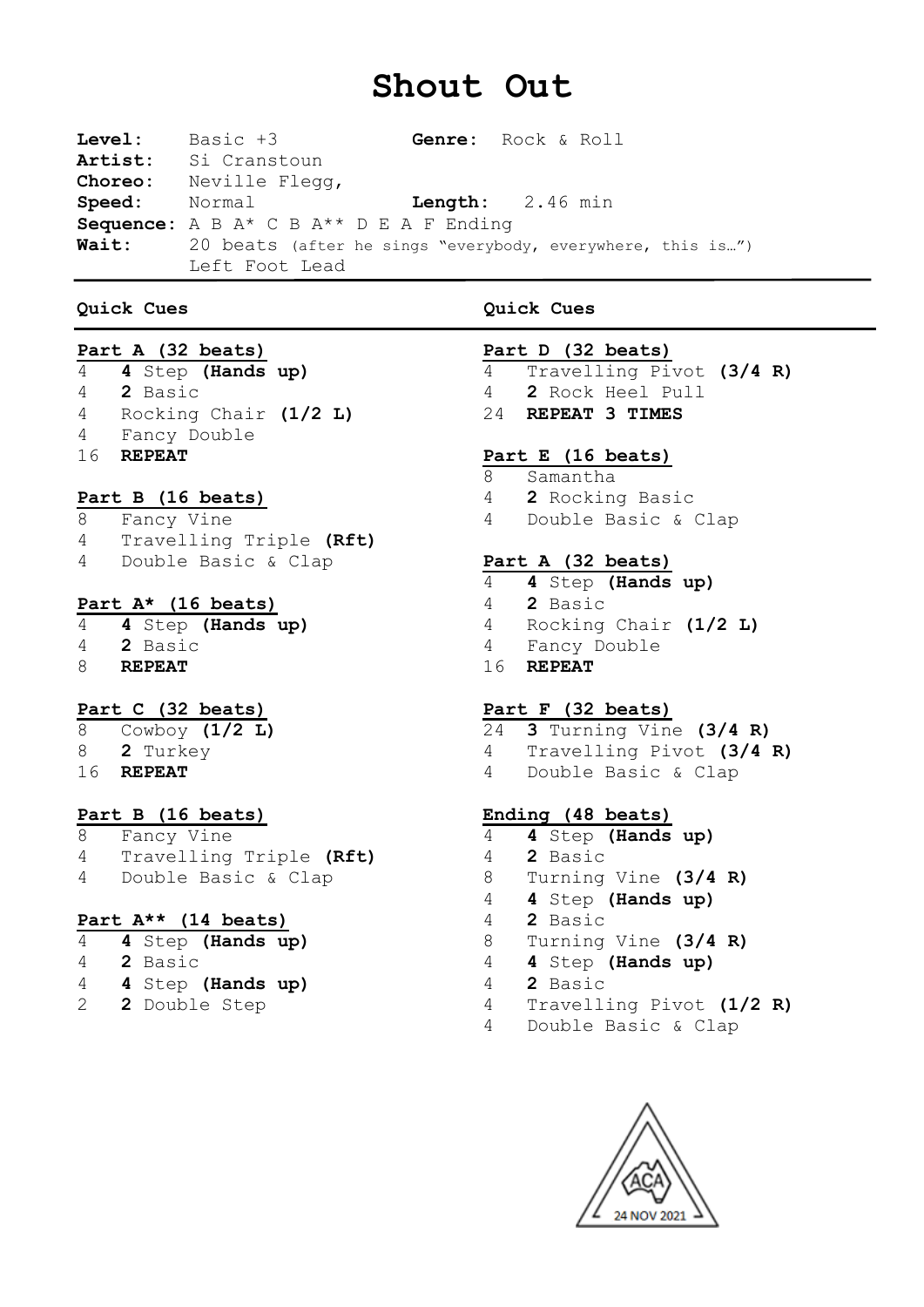# **Shout Out**

**Level:** Basic +3 **Genre:** Rock & Roll **Artist:** Si Cranstoun **Choreo:** Neville Flegg, **Speed:** Normal **Length:** 2.46 min **Sequence:** A B A\* C B A\*\* D E A F Ending Wait: 20 beats (after he sings "everybody, everywhere, this is...") Left Foot Lead

# **Quick Cues Quick Cues**

# **Part A (32 beats)**

 **4** Step **(Hands up) 2** Basic Rocking Chair **(1/2 L)** Fancy Double **REPEAT**

# **Part B (16 beats)**

 Fancy Vine Travelling Triple **(Rft)** Double Basic & Clap

# **Part A\* (16 beats)**

 **4** Step **(Hands up) 2** Basic **REPEAT**

# **Part C (32 beats)**

- Cowboy **(1/2 L) 2** Turkey
- **REPEAT**

# **Part B (16 beats)**

 Fancy Vine Travelling Triple **(Rft)** Double Basic & Clap

# **Part A\*\* (14 beats)**

| 4  | 4 Step (Hands up) |  |
|----|-------------------|--|
| 4  | 2 Basic           |  |
| 4  | 4 Step (Hands up) |  |
| 2. | 2 Double Step     |  |

# **Part D (32 beats)**

 Travelling Pivot **(3/4 R) 2** Rock Heel Pull **REPEAT 3 TIMES**

# **Part E (16 beats)**

- Samantha
- **2** Rocking Basic
- Double Basic & Clap

# **Part A (32 beats)**

- **4** Step **(Hands up)**
- **2** Basic
- Rocking Chair **(1/2 L)**
- Fancy Double
- **REPEAT**

# **Part F (32 beats)**

- **3** Turning Vine **(3/4 R)**
- Travelling Pivot **(3/4 R)**
- Double Basic & Clap

### **Ending (48 beats)**

- **4** Step **(Hands up)**
- **2** Basic
- Turning Vine **(3/4 R)**
- **4** Step **(Hands up)**
- **2** Basic
- Turning Vine **(3/4 R)**
- **4** Step **(Hands up)**
- **2** Basic
- Travelling Pivot **(1/2 R)**
- Double Basic & Clap